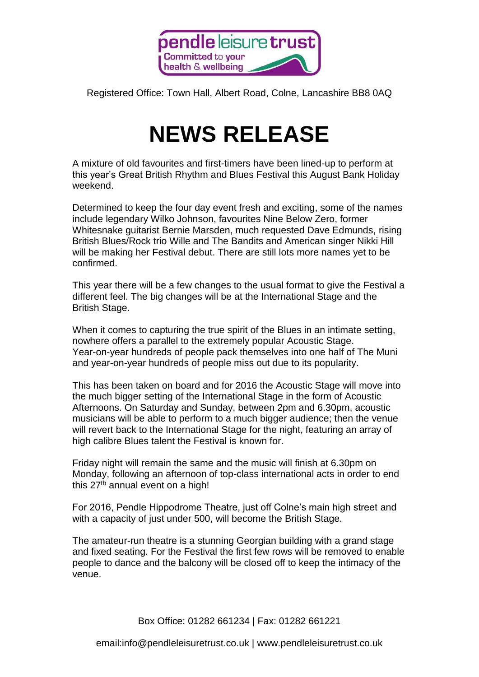

Registered Office: Town Hall, Albert Road, Colne, Lancashire BB8 0AQ

## **NEWS RELEASE**

A mixture of old favourites and first-timers have been lined-up to perform at this year's Great British Rhythm and Blues Festival this August Bank Holiday weekend.

Determined to keep the four day event fresh and exciting, some of the names include legendary Wilko Johnson, favourites Nine Below Zero, former Whitesnake guitarist Bernie Marsden, much requested Dave Edmunds, rising British Blues/Rock trio Wille and The Bandits and American singer Nikki Hill will be making her Festival debut. There are still lots more names yet to be confirmed.

This year there will be a few changes to the usual format to give the Festival a different feel. The big changes will be at the International Stage and the British Stage.

When it comes to capturing the true spirit of the Blues in an intimate setting, nowhere offers a parallel to the extremely popular Acoustic Stage. Year-on-year hundreds of people pack themselves into one half of The Muni and year-on-year hundreds of people miss out due to its popularity.

This has been taken on board and for 2016 the Acoustic Stage will move into the much bigger setting of the International Stage in the form of Acoustic Afternoons. On Saturday and Sunday, between 2pm and 6.30pm, acoustic musicians will be able to perform to a much bigger audience; then the venue will revert back to the International Stage for the night, featuring an array of high calibre Blues talent the Festival is known for.

Friday night will remain the same and the music will finish at 6.30pm on Monday, following an afternoon of top-class international acts in order to end this  $27<sup>th</sup>$  annual event on a high!

For 2016, Pendle Hippodrome Theatre, just off Colne's main high street and with a capacity of just under 500, will become the British Stage.

The amateur-run theatre is a stunning Georgian building with a grand stage and fixed seating. For the Festival the first few rows will be removed to enable people to dance and the balcony will be closed off to keep the intimacy of the venue.

Box Office: 01282 661234 | Fax: 01282 661221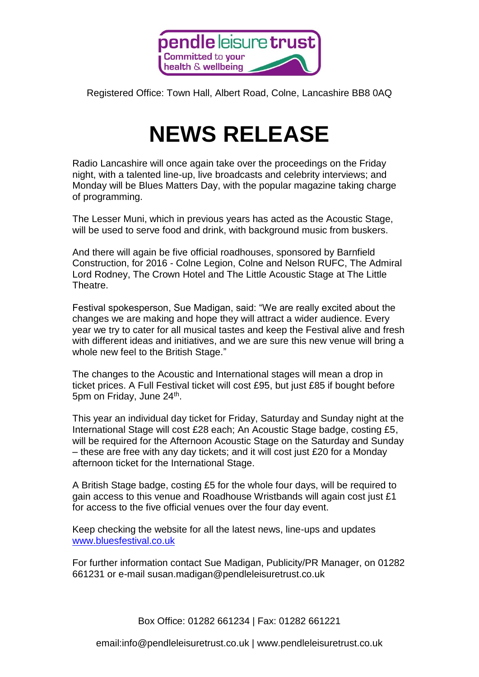

Registered Office: Town Hall, Albert Road, Colne, Lancashire BB8 0AQ

## **NEWS RELEASE**

Radio Lancashire will once again take over the proceedings on the Friday night, with a talented line-up, live broadcasts and celebrity interviews; and Monday will be Blues Matters Day, with the popular magazine taking charge of programming.

The Lesser Muni, which in previous years has acted as the Acoustic Stage, will be used to serve food and drink, with background music from buskers.

And there will again be five official roadhouses, sponsored by Barnfield Construction, for 2016 - Colne Legion, Colne and Nelson RUFC, The Admiral Lord Rodney, The Crown Hotel and The Little Acoustic Stage at The Little Theatre.

Festival spokesperson, Sue Madigan, said: "We are really excited about the changes we are making and hope they will attract a wider audience. Every year we try to cater for all musical tastes and keep the Festival alive and fresh with different ideas and initiatives, and we are sure this new venue will bring a whole new feel to the British Stage."

The changes to the Acoustic and International stages will mean a drop in ticket prices. A Full Festival ticket will cost £95, but just £85 if bought before 5pm on Friday, June 24<sup>th</sup>.

This year an individual day ticket for Friday, Saturday and Sunday night at the International Stage will cost £28 each; An Acoustic Stage badge, costing £5, will be required for the Afternoon Acoustic Stage on the Saturday and Sunday – these are free with any day tickets; and it will cost just £20 for a Monday afternoon ticket for the International Stage.

A British Stage badge, costing £5 for the whole four days, will be required to gain access to this venue and Roadhouse Wristbands will again cost just £1 for access to the five official venues over the four day event.

Keep checking the website for all the latest news, line-ups and updates [www.bluesfestival.co.uk](http://www.bluesfestival.co.uk/)

For further information contact Sue Madigan, Publicity/PR Manager, on 01282 661231 or e-mail susan.madigan@pendleleisuretrust.co.uk

Box Office: 01282 661234 | Fax: 01282 661221